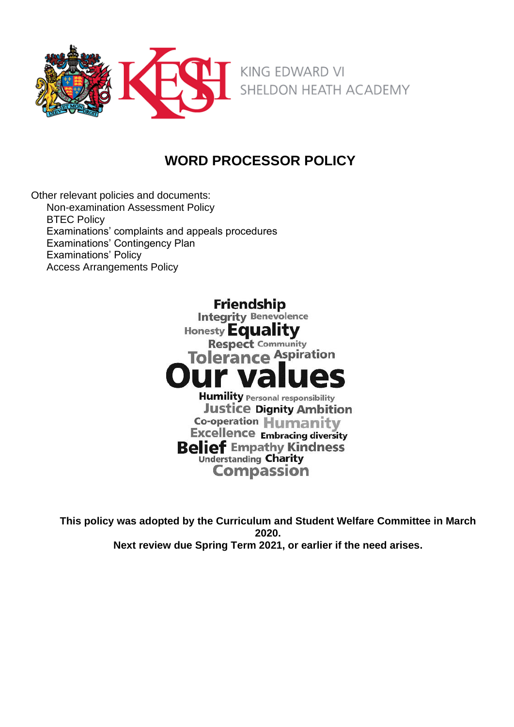

# **WORD PROCESSOR POLICY**

Other relevant policies and documents: Non-examination Assessment Policy **BTEC Policy** Examinations' complaints and appeals procedures Examinations' Contingency Plan Examinations' Policy Access Arrangements Policy

> Friendship **Integrity Benevolence** Honesty Equality **Respect Community Tolerance Aspiration Humility Personal responsibility Justice Dignity Ambition** Co-operation Humanity **Excellence Embracing diversity Belief Empathy Kindness Understanding Charity Compassion**

**This policy was adopted by the Curriculum and Student Welfare Committee in March 2020. Next review due Spring Term 2021, or earlier if the need arises.**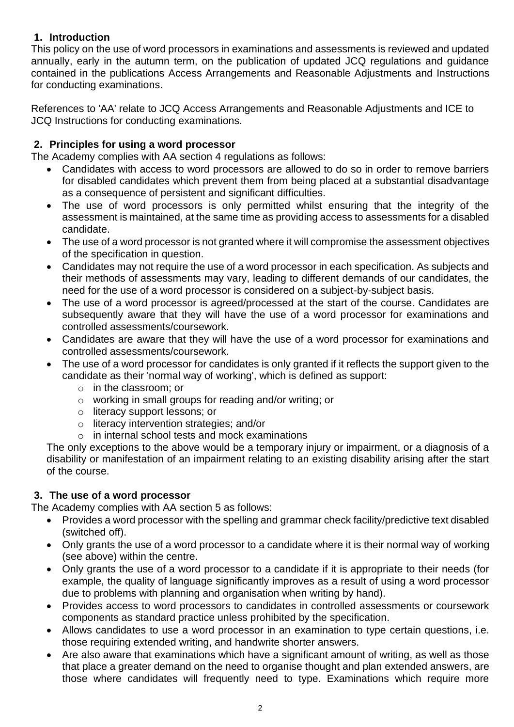## **1. Introduction**

This policy on the use of word processors in examinations and assessments is reviewed and updated annually, early in the autumn term, on the publication of updated JCQ regulations and guidance contained in the publications [Access Arrangements and Reasonable Adjustments](http://www.jcq.org.uk/exams-office/access-arrangements-and-special-consideration/regulations-and-guidance) and [Instructions](http://www.jcq.org.uk/exams-office/ice---instructions-for-conducting-examinations)  [for conducting examinations.](http://www.jcq.org.uk/exams-office/ice---instructions-for-conducting-examinations) 

References to 'AA' relate to JCQ Access Arrangements and Reasonable Adjustments and ICE to JCQ Instructions for conducting examinations.

### **2. Principles for using a word processor**

The Academy complies with AA section 4 regulations as follows:

- Candidates with access to word processors are allowed to do so in order to remove barriers for disabled candidates which prevent them from being placed at a substantial disadvantage as a consequence of persistent and significant difficulties.
- The use of word processors is only permitted whilst ensuring that the integrity of the assessment is maintained, at the same time as providing access to assessments for a disabled candidate.
- The use of a word processor is not granted where it will compromise the assessment objectives of the specification in question.
- Candidates may not require the use of a word processor in each specification. As subjects and their methods of assessments may vary, leading to different demands of our candidates, the need for the use of a word processor is considered on a subject-by-subject basis.
- The use of a word processor is agreed/processed at the start of the course. Candidates are subsequently aware that they will have the use of a word processor for examinations and controlled assessments/coursework.
- Candidates are aware that they will have the use of a word processor for examinations and controlled assessments/coursework.
- The use of a word processor for candidates is only granted if it reflects the support given to the candidate as their 'normal way of working', which is defined as support:
	- o in the classroom; or
	- o working in small groups for reading and/or writing; or
	- o literacy support lessons; or
	- o literacy intervention strategies; and/or
	- o in internal school tests and mock examinations

The only exceptions to the above would be a temporary injury or impairment, or a diagnosis of a disability or manifestation of an impairment relating to an existing disability arising after the start of the course.

### **3. The use of a word processor**

The Academy complies with AA section 5 as follows:

- Provides a word processor with the spelling and grammar check facility/predictive text disabled (switched off).
- Only grants the use of a word processor to a candidate where it is their normal way of working (see above) within the centre.
- Only grants the use of a word processor to a candidate if it is appropriate to their needs (for example, the quality of language significantly improves as a result of using a word processor due to problems with planning and organisation when writing by hand).
- Provides access to word processors to candidates in controlled assessments or coursework components as standard practice unless prohibited by the specification.
- Allows candidates to use a word processor in an examination to type certain questions, i.e. those requiring extended writing, and handwrite shorter answers.
- Are also aware that examinations which have a significant amount of writing, as well as those that place a greater demand on the need to organise thought and plan extended answers, are those where candidates will frequently need to type. Examinations which require more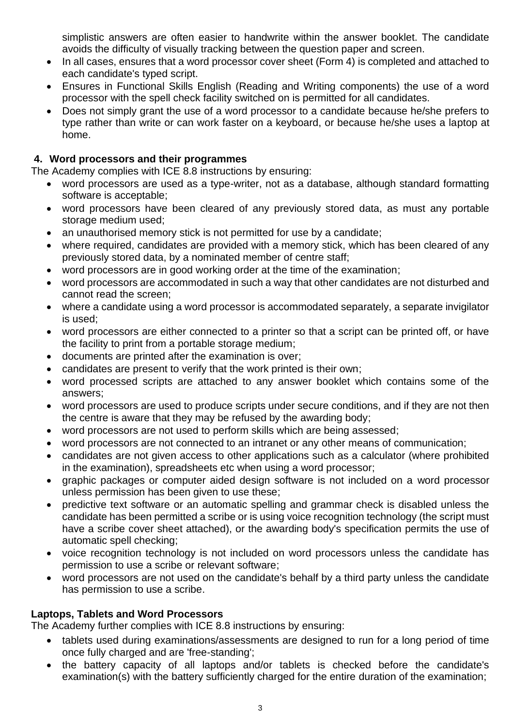simplistic answers are often easier to handwrite within the answer booklet. The candidate avoids the difficulty of visually tracking between the question paper and screen.

- In all cases, ensures that a word processor cover sheet (Form 4) is completed and attached to each candidate's typed script.
- Ensures in Functional Skills English (Reading and Writing components) the use of a word processor with the spell check facility switched on is permitted for all candidates.
- Does not simply grant the use of a word processor to a candidate because he/she prefers to type rather than write or can work faster on a keyboard, or because he/she uses a laptop at home.

### **4. Word processors and their programmes**

The Academy complies with ICE 8.8 instructions by ensuring:

- word processors are used as a type-writer, not as a database, although standard formatting software is acceptable;
- word processors have been cleared of any previously stored data, as must any portable storage medium used;
- an unauthorised memory stick is not permitted for use by a candidate;
- where required, candidates are provided with a memory stick, which has been cleared of any previously stored data, by a nominated member of centre staff;
- word processors are in good working order at the time of the examination;
- word processors are accommodated in such a way that other candidates are not disturbed and cannot read the screen;
- where a candidate using a word processor is accommodated separately, a separate invigilator is used;
- word processors are either connected to a printer so that a script can be printed off, or have the facility to print from a portable storage medium;
- documents are printed after the examination is over;
- candidates are present to verify that the work printed is their own;
- word processed scripts are attached to any answer booklet which contains some of the answers;
- word processors are used to produce scripts under secure conditions, and if they are not then the centre is aware that they may be refused by the awarding body;
- word processors are not used to perform skills which are being assessed;
- word processors are not connected to an intranet or any other means of communication;
- candidates are not given access to other applications such as a calculator (where prohibited in the examination), spreadsheets etc when using a word processor;
- graphic packages or computer aided design software is not included on a word processor unless permission has been given to use these;
- predictive text software or an automatic spelling and grammar check is disabled unless the candidate has been permitted a scribe or is using voice recognition technology (the script must have a scribe cover sheet attached), or the awarding body's specification permits the use of automatic spell checking;
- voice recognition technology is not included on word processors unless the candidate has permission to use a scribe or relevant software;
- word processors are not used on the candidate's behalf by a third party unless the candidate has permission to use a scribe.

### **Laptops, Tablets and Word Processors**

The Academy further complies with ICE 8.8 instructions by ensuring:

- tablets used during examinations/assessments are designed to run for a long period of time once fully charged and are 'free-standing';
- the battery capacity of all laptops and/or tablets is checked before the candidate's examination(s) with the battery sufficiently charged for the entire duration of the examination;